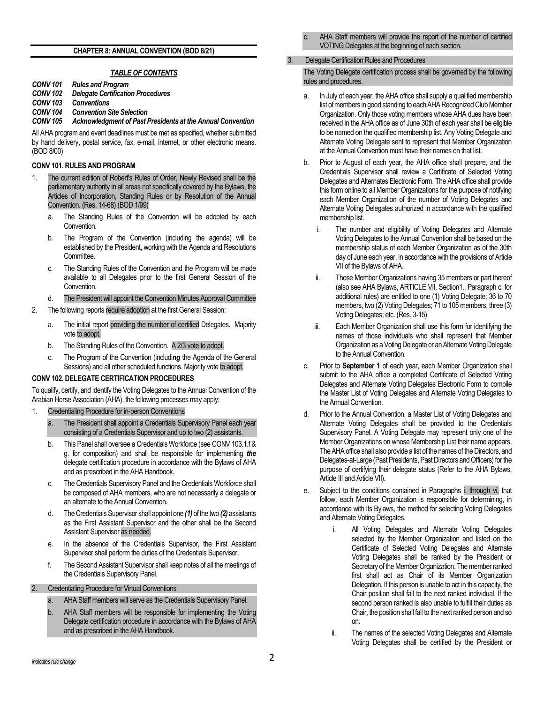### **CHAPTER 8: ANNUAL CONVENTION (BOD 8/21)**

#### *TABLE OF CONTENTS*

- *CONV 101 Rules and Program*
- *CONV 102 Delegate Certification Procedures*
- *CONV 103 Conventions*
- *CONV 104 Convention Site Selection*

*CONV 105 Acknowledgment of Past Presidents at the Annual Convention*

All AHA program and event deadlines must be met as specified, whether submitted by hand delivery, postal service, fax, e-mail, internet, or other electronic means. (BOD 8/00)

# **CONV 101. RULES AND PROGRAM**

- 1. The current edition of Robert's Rules of Order, Newly Revised shall be the parliamentary authority in all areas not specifically covered by the Bylaws, the Articles of Incorporation, Standing Rules or by Resolution of the Annual Convention. (Res. 14-68) (BOD 1/99)
	- a. The Standing Rules of the Convention will be adopted by each Convention.
	- b. The Program of the Convention (including the agenda) will be established by the President, working with the Agenda and Resolutions **Committee.**
	- c. The Standing Rules of the Convention and the Program will be made available to all Delegates prior to the first General Session of the Convention.
	- d. The President will appoint the Convention Minutes Approval Committee
- 2. The following reports require adoption at the first General Session:
	- a. The initial report providing the number of certified Delegates. Majority vote to adopt.
	- b. The Standing Rules of the Convention. A 2/3 vote to adopt.
	- c. The Program of the Convention (includi*ng* the Agenda of the General Sessions) and all other scheduled functions. Majority vote to adopt.

#### **CONV 102. DELEGATE CERTIFICATION PROCEDURES**

To qualify, certify, and identify the Voting Delegates to the Annual Convention of the Arabian Horse Association (AHA), the following processes may apply:

- 1. Credentialing Procedure for in-person Conventions
	- a. The President shall appoint a Credentials Supervisory Panel each year consisting of a Credentials Supervisor and up to two (2) assistants.
	- b. This Panel shall oversee a Credentials Workforce (see CONV 103.1.f & g. for composition) and shall be responsible for implementing *the* delegate certification procedure in accordance with the Bylaws of AHA and as prescribed in the AHA Handbook.
	- c. The Credentials Supervisory Panel and the Credentials Workforce shall be composed of AHA members, who are not necessarily a delegate or an alternate to the Annual Convention.
	- d. The Credentials Supervisor shall appoint one *(1)* of the two *(2)* assistants as the First Assistant Supervisor and the other shall be the Second Assistant Supervisor as needed.
	- e. In the absence of the Credentials Supervisor, the First Assistant Supervisor shall perform the duties of the Credentials Supervisor.
	- f. The Second Assistant Supervisor shall keep notes of all the meetings of the Credentials Supervisory Panel.
- 2. Credentialing Procedure for Virtual Conventions
	- a. AHA Staff members will serve as the Credentials Supervisory Panel.
	- b. AHA Staff members will be responsible for implementing the Voting Delegate certification procedure in accordance with the Bylaws of AHA and as prescribed in the AHA Handbook.
- AHA Staff members will provide the report of the number of certified VOTING Delegates at the beginning of each section.
- 3. Delegate Certification Rules and Procedures

The Voting Delegate certification process shall be governed by the following rules and procedures.

- a. In July of each year, the AHA office shall supply a qualified membership list of members in good standing to each AHA Recognized Club Member Organization. Only those voting members whose AHA dues have been received in the AHA office as of June 30th of each year shall be eligible to be named on the qualified membership list. Any Voting Delegate and Alternate Voting Delegate sent to represent that Member Organization at the Annual Convention must have their names on that list.
- b. Prior to August of each year, the AHA office shall prepare, and the Credentials Supervisor shall review a Certificate of Selected Voting Delegates and Alternates Electronic Form. The AHA office shall provide this form online to all Member Organizations for the purpose of notifying each Member Organization of the number of Voting Delegates and Alternate Voting Delegates authorized in accordance with the qualified membership list.
	- i. The number and eligibility of Voting Delegates and Alternate Voting Delegates to the Annual Convention shall be based on the membership status of each Member Organization as of the 30th day of June each year, in accordance with the provisions of Article VII of the Bylaws of AHA.
	- ii. Those Member Organizations having 35 members or part thereof (also see AHA Bylaws, ARTICLE VII, Section1., Paragraph c. for additional rules) are entitled to one (1) Voting Delegate; 36 to 70 members, two (2) Voting Delegates; 71 to 105 members, three (3) Voting Delegates; etc. (Res. 3-15)
	- iii. Each Member Organization shall use this form for identifying the names of those individuals who shall represent that Member Organization as a Voting Delegate or an Alternate Voting Delegate to the Annual Convention.
- c. Prior to **September 1** of each year, each Member Organization shall submit to the AHA office a completed Certificate of Selected Voting Delegates and Alternate Voting Delegates Electronic Form to compile the Master List of Voting Delegates and Alternate Voting Delegates to the Annual Convention.
- d. Prior to the Annual Convention, a Master List of Voting Delegates and Alternate Voting Delegates shall be provided to the Credentials Supervisory Panel. A Voting Delegate may represent only one of the Member Organizations on whose Membership List their name appears. The AHA office shall also provide a list of the names of the Directors, and Delegates-at-Large (Past Presidents, Past Directors and Officers) for the purpose of certifying their delegate status (Refer to the AHA Bylaws, Article III and Article VII).
- e. Subject to the conditions contained in Paragraphs i. through vi. that follow, each Member Organization is responsible for determining, in accordance with its Bylaws, the method for selecting Voting Delegates and Alternate Voting Delegates.
	- All Voting Delegates and Alternate Voting Delegates selected by the Member Organization and listed on the Certificate of Selected Voting Delegates and Alternate Voting Delegates shall be ranked by the President or Secretary of the Member Organization. The member ranked first shall act as Chair of its Member Organization Delegation. If this person is unable to act in this capacity, the Chair position shall fall to the next ranked individual. If the second person ranked is also unable to fulfill their duties as Chair, the position shall fall to the next ranked person and so on.
	- ii. The names of the selected Voting Delegates and Alternate Voting Delegates shall be certified by the President or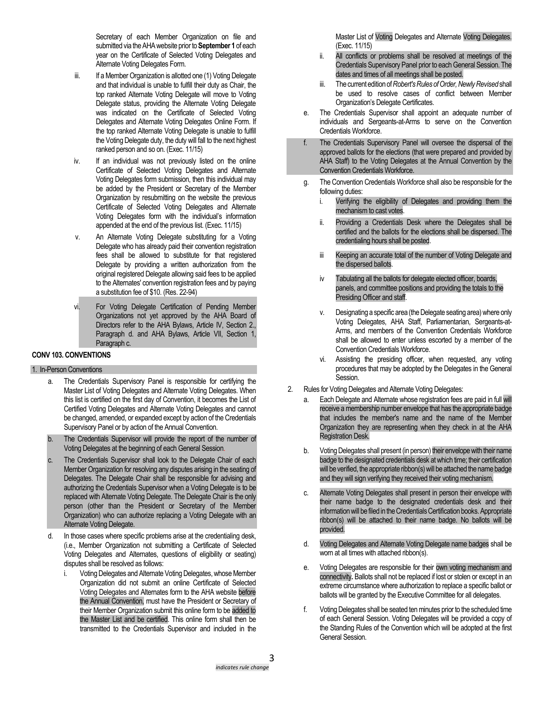Secretary of each Member Organization on file and submitted via the AHA website prior to **September 1** of each year on the Certificate of Selected Voting Delegates and Alternate Voting Delegates Form.

- iii. If a Member Organization is allotted one (1) Voting Delegate and that individual is unable to fulfill their duty as Chair, the top ranked Alternate Voting Delegate will move to Voting Delegate status, providing the Alternate Voting Delegate was indicated on the Certificate of Selected Voting Delegates and Alternate Voting Delegates Online Form. If the top ranked Alternate Voting Delegate is unable to fulfill the Voting Delegate duty, the duty will fall to the next highest ranked person and so on. (Exec. 11/15)
- iv. If an individual was not previously listed on the online Certificate of Selected Voting Delegates and Alternate Voting Delegates form submission, then this individual may be added by the President or Secretary of the Member Organization by resubmitting on the website the previous Certificate of Selected Voting Delegates and Alternate Voting Delegates form with the individual's information appended at the end of the previous list. (Exec. 11/15)
- v. An Alternate Voting Delegate substituting for a Voting Delegate who has already paid their convention registration fees shall be allowed to substitute for that registered Delegate by providing a written authorization from the original registered Delegate allowing said fees to be applied to the Alternates' convention registration fees and by paying a substitution fee of \$10. (Res. 22-94)
- vi. For Voting Delegate Certification of Pending Member Organizations not yet approved by the AHA Board of Directors refer to the AHA Bylaws, Article IV, Section 2., Paragraph d. and AHA Bylaws, Article VII, Section 1, Paragraph c.

# **CONV 103. CONVENTIONS**

#### 1. In-Person Conventions

- The Credentials Supervisory Panel is responsible for certifying the Master List of Voting Delegates and Alternate Voting Delegates. When this list is certified on the first day of Convention, it becomes the List of Certified Voting Delegates and Alternate Voting Delegates and cannot be changed, amended, or expanded except by action of the Credentials Supervisory Panel or by action of the Annual Convention.
- b. The Credentials Supervisor will provide the report of the number of Voting Delegates at the beginning of each General Session.
- c. The Credentials Supervisor shall look to the Delegate Chair of each Member Organization for resolving any disputes arising in the seating of Delegates. The Delegate Chair shall be responsible for advising and authorizing the Credentials Supervisor when a Voting Delegate is to be replaced with Alternate Voting Delegate. The Delegate Chair is the only person (other than the President or Secretary of the Member Organization) who can authorize replacing a Voting Delegate with an Alternate Voting Delegate.
- d. In those cases where specific problems arise at the credentialing desk, (i.e., Member Organization not submitting a Certificate of Selected Voting Delegates and Alternates, questions of eligibility or seating) disputes shall be resolved as follows:
	- i. Voting Delegates and Alternate Voting Delegates, whose Member Organization did not submit an online Certificate of Selected Voting Delegates and Alternates form to the AHA website before the Annual Convention, must have the President or Secretary of their Member Organization submit this online form to be added to the Master List and be certified. This online form shall then be transmitted to the Credentials Supervisor and included in the

Master List of Voting Delegates and Alternate Voting Delegates. (Exec. 11/15)

- ii. All conflicts or problems shall be resolved at meetings of the Credentials Supervisory Panel prior to each General Session. The dates and times of all meetings shall be posted.
- iii. The current edition of *Robert's Rules of Order, Newly Revised*shall be used to resolve cases of conflict between Member Organization's Delegate Certificates.
- e. The Credentials Supervisor shall appoint an adequate number of individuals and Sergeants-at-Arms to serve on the Convention Credentials Workforce.
	- The Credentials Supervisory Panel will oversee the dispersal of the approved ballots for the elections (that were prepared and provided by AHA Staff) to the Voting Delegates at the Annual Convention by the Convention Credentials Workforce.
- g. The Convention Credentials Workforce shall also be responsible for the following duties:
	- i. Verifying the eligibility of Delegates and providing them the mechanism to cast votes.
	- ii. Providing a Credentials Desk where the Delegates shall be certified and the ballots for the elections shall be dispersed. The credentialing hours shall be posted.
	- iii Keeping an accurate total of the number of Voting Delegate and the dispersed ballots.
	- iv Tabulating all the ballots for delegate elected officer, boards, panels, and committee positions and providing the totals to the Presiding Officer and staff.
	- v. Designating a specific area (the Delegate seating area) where only Voting Delegates, AHA Staff, Parliamentarian, Sergeants-at-Arms, and members of the Convention Credentials Workforce shall be allowed to enter unless escorted by a member of the Convention Credentials Workforce.
	- vi. Assisting the presiding officer, when requested, any voting procedures that may be adopted by the Delegates in the General Session.
- 2. Rules for Voting Delegates and Alternate Voting Delegates:
	- Each Delegate and Alternate whose registration fees are paid in full will receive a membership number envelope that has the appropriate badge that includes the member's name and the name of the Member Organization they are representing when they check in at the AHA Registration Desk.
	- b. Voting Delegates shall present (in person) their envelope with their name badge to the designated credentials desk at which time; their certification will be verified, the appropriate ribbon(s) will be attached the name badge and they will sign verifying they received their voting mechanism.
	- c. Alternate Voting Delegates shall present in person their envelope with their name badge to the designated credentials desk and their information will be filed in the Credentials Certification books. Appropriate ribbon(s) will be attached to their name badge. No ballots will be provided.
	- d. Voting Delegates and Alternate Voting Delegate name badges shall be worn at all times with attached ribbon(s).
	- e. Voting Delegates are responsible for their own voting mechanism and connectivity*.* Ballots shall not be replaced if lost or stolen or except in an extreme circumstance where authorization to replace a specific ballot or ballots will be granted by the Executive Committee for all delegates.
	- f. Voting Delegates shall be seated ten minutes prior to the scheduled time of each General Session. Voting Delegates will be provided a copy of the Standing Rules of the Convention which will be adopted at the first General Session.